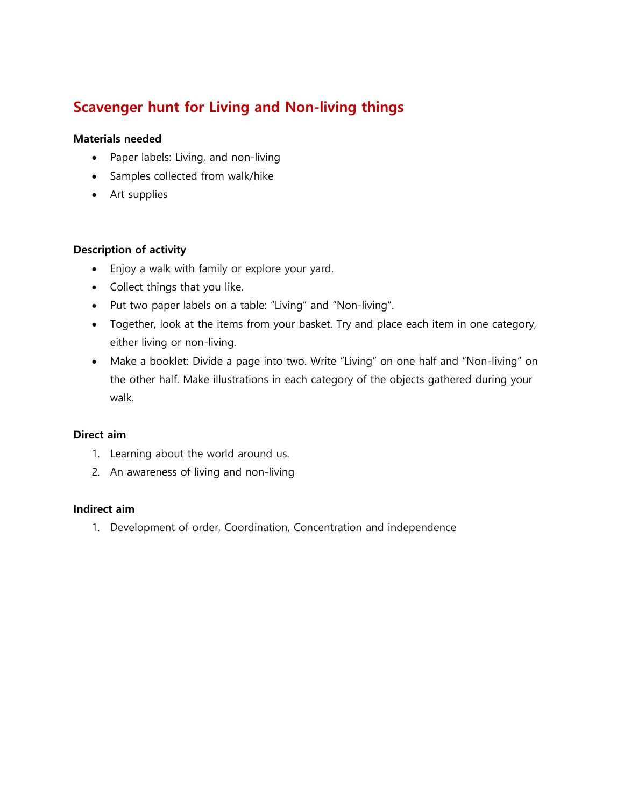## **Scavenger hunt for Living and Non-living things**

#### **Materials needed**

- Paper labels: Living, and non-living
- Samples collected from walk/hike
- Art supplies

#### **Description of activity**

- Enjoy a walk with family or explore your yard.
- Collect things that you like.
- Put two paper labels on a table: "Living" and "Non-living".
- Together, look at the items from your basket. Try and place each item in one category, either living or non-living.
- Make a booklet: Divide a page into two. Write "Living" on one half and "Non-living" on the other half. Make illustrations in each category of the objects gathered during your walk.

#### **Direct aim**

- 1. Learning about the world around us.
- 2. An awareness of living and non-living

#### **Indirect aim**

1. Development of order, Coordination, Concentration and independence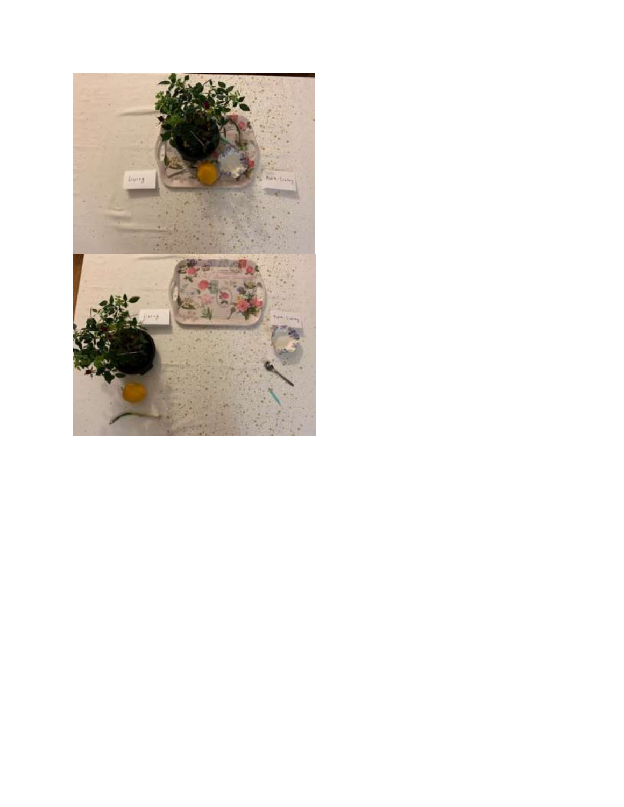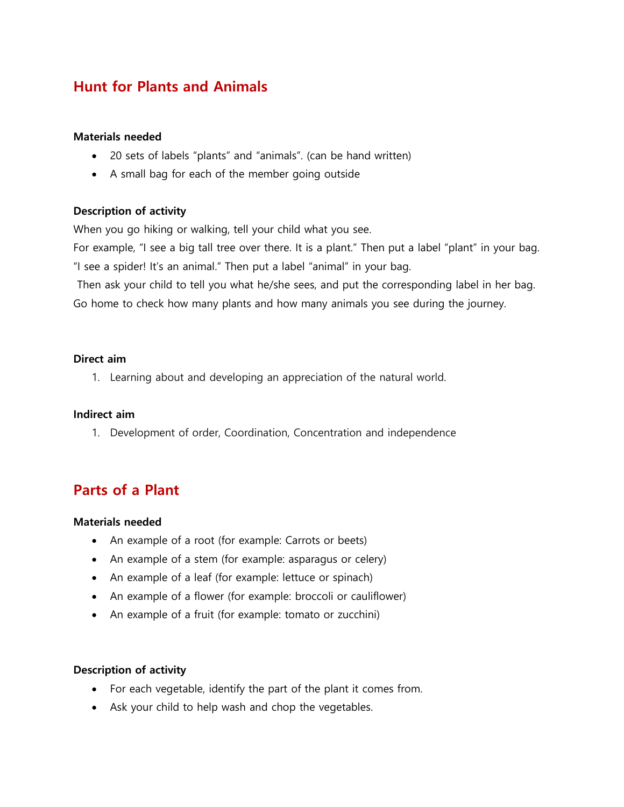## **Hunt for Plants and Animals**

#### **Materials needed**

- 20 sets of labels "plants" and "animals". (can be hand written)
- A small bag for each of the member going outside

#### **Description of activity**

When you go hiking or walking, tell your child what you see.

For example, "I see a big tall tree over there. It is a plant." Then put a label "plant" in your bag. "I see a spider! It's an animal." Then put a label "animal" in your bag.

Then ask your child to tell you what he/she sees, and put the corresponding label in her bag. Go home to check how many plants and how many animals you see during the journey.

#### **Direct aim**

1. Learning about and developing an appreciation of the natural world.

#### **Indirect aim**

1. Development of order, Coordination, Concentration and independence

### **Parts of a Plant**

#### **Materials needed**

- An example of a root (for example: Carrots or beets)
- An example of a stem (for example: asparagus or celery)
- An example of a leaf (for example: lettuce or spinach)
- An example of a flower (for example: broccoli or cauliflower)
- An example of a fruit (for example: tomato or zucchini)

#### **Description of activity**

- For each vegetable, identify the part of the plant it comes from.
- Ask your child to help wash and chop the vegetables.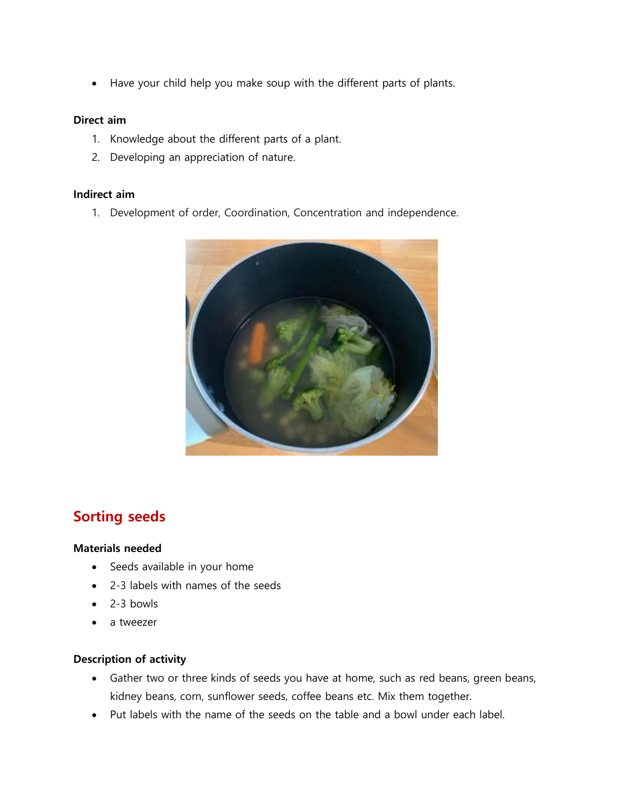Have your child help you make soup with the different parts of plants.

#### **Direct aim**

- 1. Knowledge about the different parts of a plant.
- 2. Developing an appreciation of nature.

#### **Indirect aim**

1. Development of order, Coordination, Concentration and independence.



## **Sorting seeds**

#### **Materials needed**

- Seeds available in your home
- 2-3 labels with names of the seeds
- $\bullet$  2-3 bowls
- a tweezer

#### **Description of activity**

- Gather two or three kinds of seeds you have at home, such as red beans, green beans, kidney beans, corn, sunflower seeds, coffee beans etc. Mix them together.
- Put labels with the name of the seeds on the table and a bowl under each label.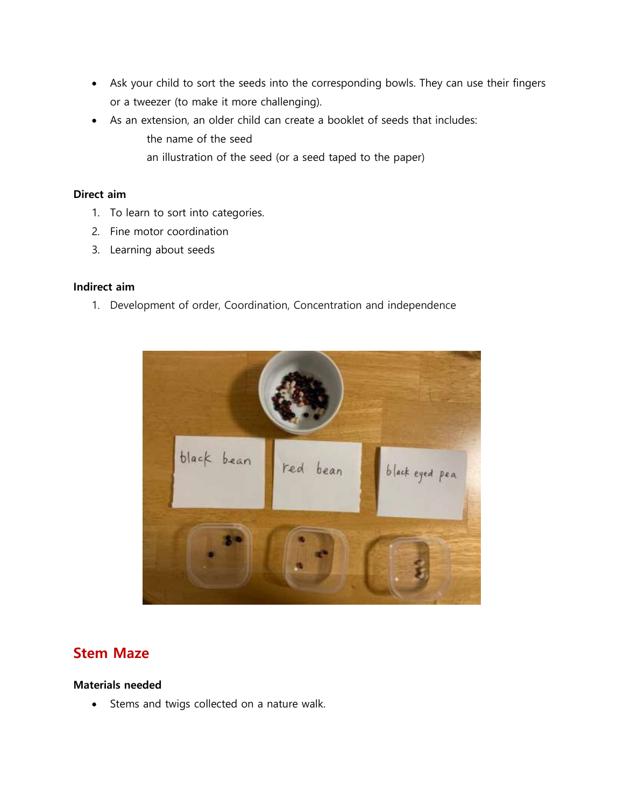- Ask your child to sort the seeds into the corresponding bowls. They can use their fingers or a tweezer (to make it more challenging).
- As an extension, an older child can create a booklet of seeds that includes: the name of the seed an illustration of the seed (or a seed taped to the paper)

#### **Direct aim**

- 1. To learn to sort into categories.
- 2. Fine motor coordination
- 3. Learning about seeds

#### **Indirect aim**

1. Development of order, Coordination, Concentration and independence



## **Stem Maze**

#### **Materials needed**

• Stems and twigs collected on a nature walk.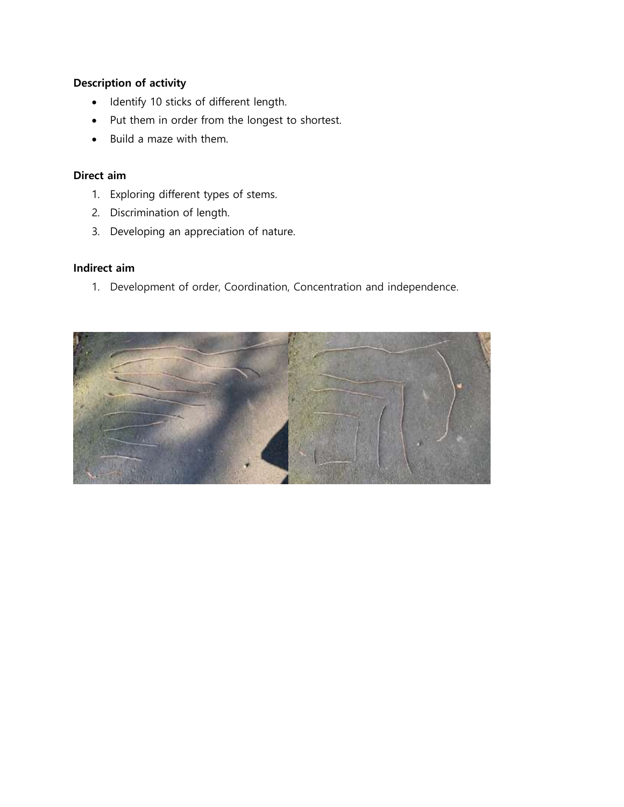### **Description of activity**

- Identify 10 sticks of different length.
- Put them in order from the longest to shortest.
- Build a maze with them.

#### **Direct aim**

- 1. Exploring different types of stems.
- 2. Discrimination of length.
- 3. Developing an appreciation of nature.

#### **Indirect aim**

1. Development of order, Coordination, Concentration and independence.

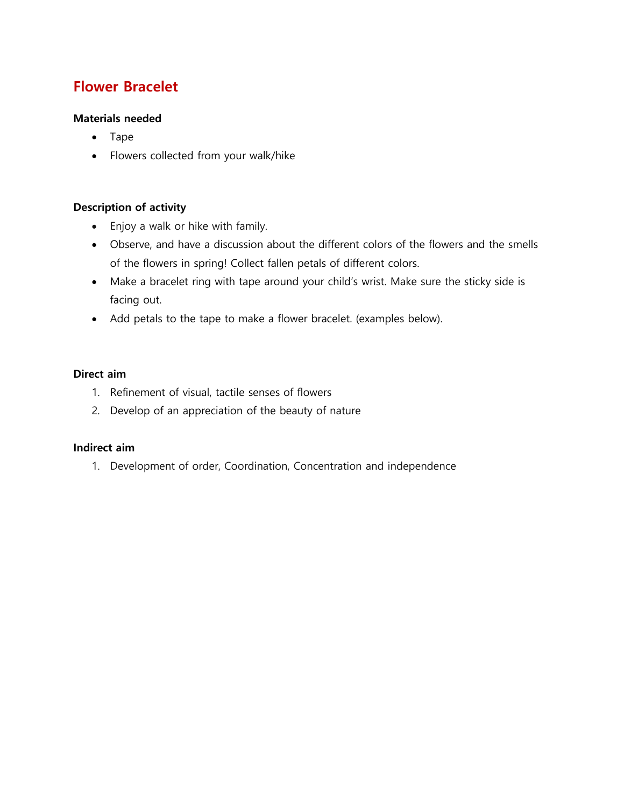## **Flower Bracelet**

### **Materials needed**

- Tape
- Flowers collected from your walk/hike

#### **Description of activity**

- Enjoy a walk or hike with family.
- Observe, and have a discussion about the different colors of the flowers and the smells of the flowers in spring! Collect fallen petals of different colors.
- Make a bracelet ring with tape around your child's wrist. Make sure the sticky side is facing out.
- Add petals to the tape to make a flower bracelet. (examples below).

#### **Direct aim**

- 1. Refinement of visual, tactile senses of flowers
- 2. Develop of an appreciation of the beauty of nature

#### **Indirect aim**

1. Development of order, Coordination, Concentration and independence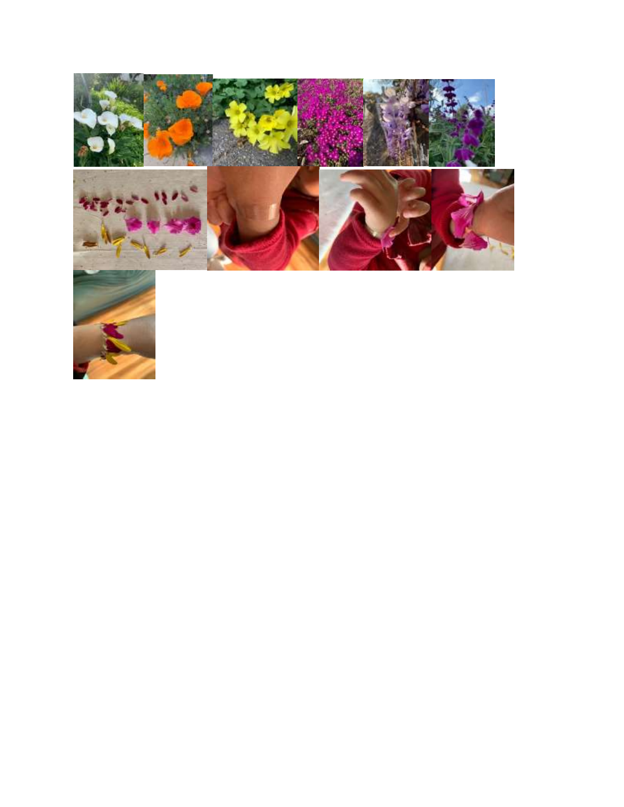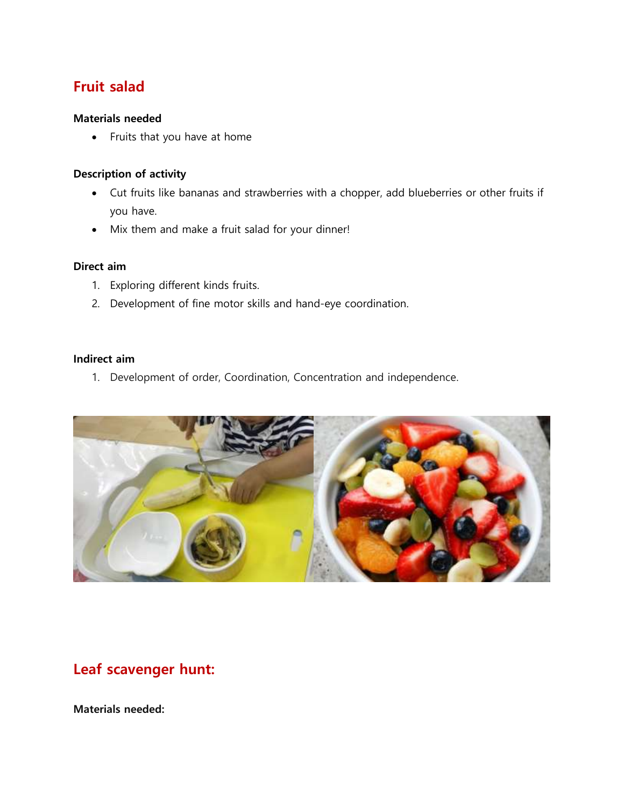## **Fruit salad**

#### **Materials needed**

Fruits that you have at home

#### **Description of activity**

- Cut fruits like bananas and strawberries with a chopper, add blueberries or other fruits if you have.
- Mix them and make a fruit salad for your dinner!

#### **Direct aim**

- 1. Exploring different kinds fruits.
- 2. Development of fine motor skills and hand-eye coordination.

#### **Indirect aim**

1. Development of order, Coordination, Concentration and independence.



## **Leaf scavenger hunt:**

**Materials needed:**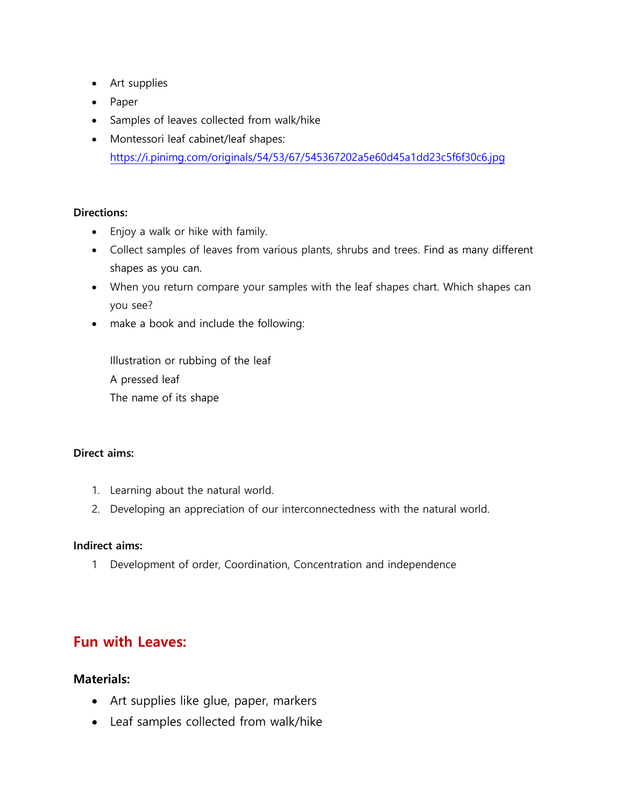- Art supplies
- Paper
- Samples of leaves collected from walk/hike
- Montessori leaf cabinet/leaf shapes: <https://i.pinimg.com/originals/54/53/67/545367202a5e60d45a1dd23c5f6f30c6.jpg>

#### **Directions:**

- Enjoy a walk or hike with family.
- Collect samples of leaves from various plants, shrubs and trees. Find as many different shapes as you can.
- When you return compare your samples with the leaf shapes chart. Which shapes can you see?
- make a book and include the following:

Illustration or rubbing of the leaf A pressed leaf The name of its shape

#### **Direct aims:**

- 1. Learning about the natural world.
- 2. Developing an appreciation of our interconnectedness with the natural world.

#### **Indirect aims:**

1 Development of order, Coordination, Concentration and independence

### **Fun with Leaves:**

### **Materials:**

- Art supplies like glue, paper, markers
- Leaf samples collected from walk/hike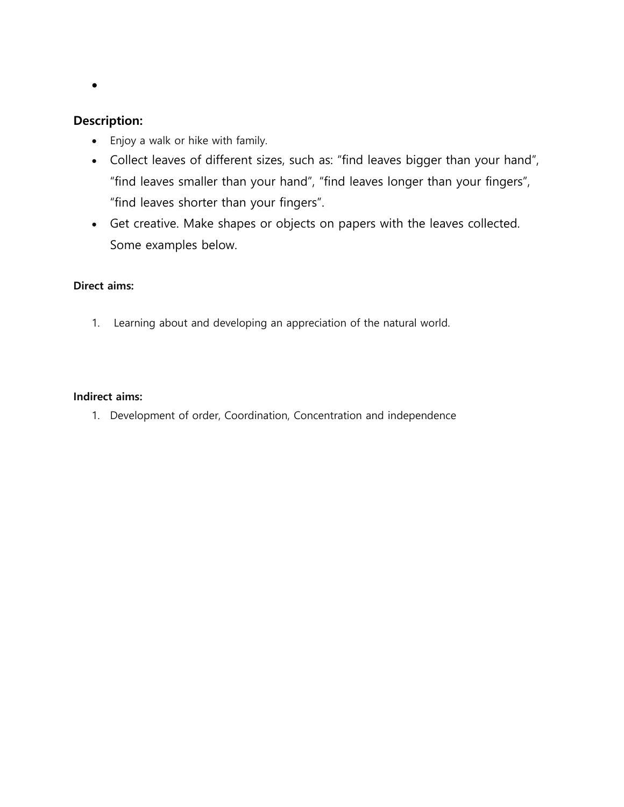# **Description:**

 $\bullet$ 

- Enjoy a walk or hike with family.
- Collect leaves of different sizes, such as: "find leaves bigger than your hand", "find leaves smaller than your hand", "find leaves longer than your fingers", "find leaves shorter than your fingers".
- Get creative. Make shapes or objects on papers with the leaves collected. Some examples below.

### **Direct aims:**

1. Learning about and developing an appreciation of the natural world.

#### **Indirect aims:**

1. Development of order, Coordination, Concentration and independence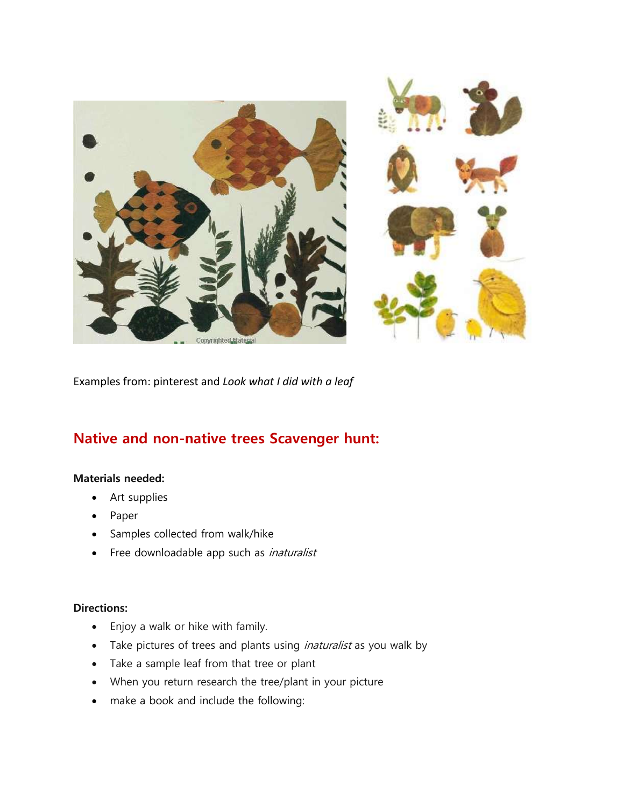

Examples from: pinterest and *Look what I did with a leaf*

## **Native and non-native trees Scavenger hunt:**

### **Materials needed:**

- Art supplies
- Paper
- Samples collected from walk/hike
- Free downloadable app such as *inaturalist*

### **Directions:**

- Enjoy a walk or hike with family.
- Take pictures of trees and plants using *inaturalist* as you walk by
- Take a sample leaf from that tree or plant
- When you return research the tree/plant in your picture
- make a book and include the following: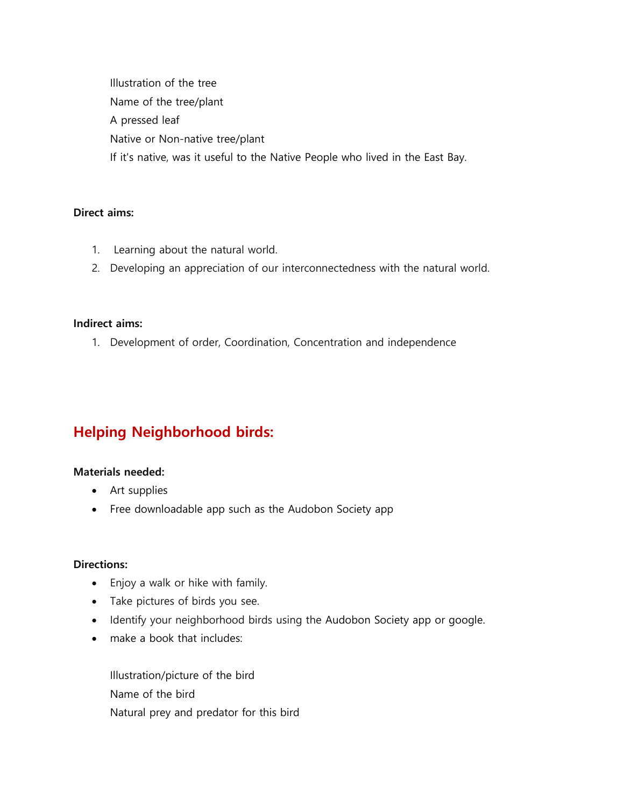Illustration of the tree Name of the tree/plant A pressed leaf Native or Non-native tree/plant If it's native, was it useful to the Native People who lived in the East Bay.

#### **Direct aims:**

- 1. Learning about the natural world.
- 2. Developing an appreciation of our interconnectedness with the natural world.

#### **Indirect aims:**

1. Development of order, Coordination, Concentration and independence

## **Helping Neighborhood birds:**

#### **Materials needed:**

- Art supplies
- Free downloadable app such as the Audobon Society app

#### **Directions:**

- Enjoy a walk or hike with family.
- Take pictures of birds you see.
- Identify your neighborhood birds using the Audobon Society app or google.
- make a book that includes:

Illustration/picture of the bird Name of the bird Natural prey and predator for this bird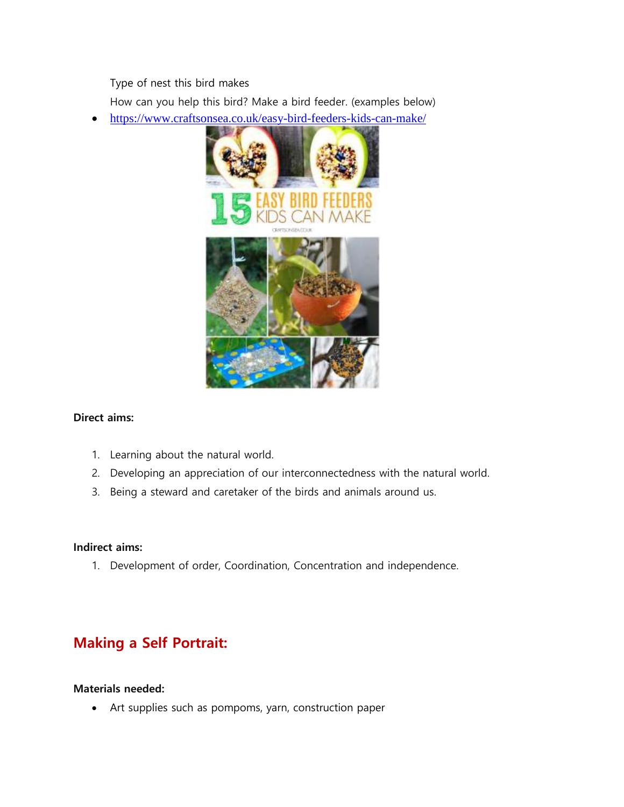Type of nest this bird makes

How can you help this bird? Make a bird feeder. (examples below)

<https://www.craftsonsea.co.uk/easy-bird-feeders-kids-can-make/>



### **Direct aims:**

- 1. Learning about the natural world.
- 2. Developing an appreciation of our interconnectedness with the natural world.
- 3. Being a steward and caretaker of the birds and animals around us.

#### **Indirect aims:**

1. Development of order, Coordination, Concentration and independence.

## **Making a Self Portrait:**

#### **Materials needed:**

• Art supplies such as pompoms, yarn, construction paper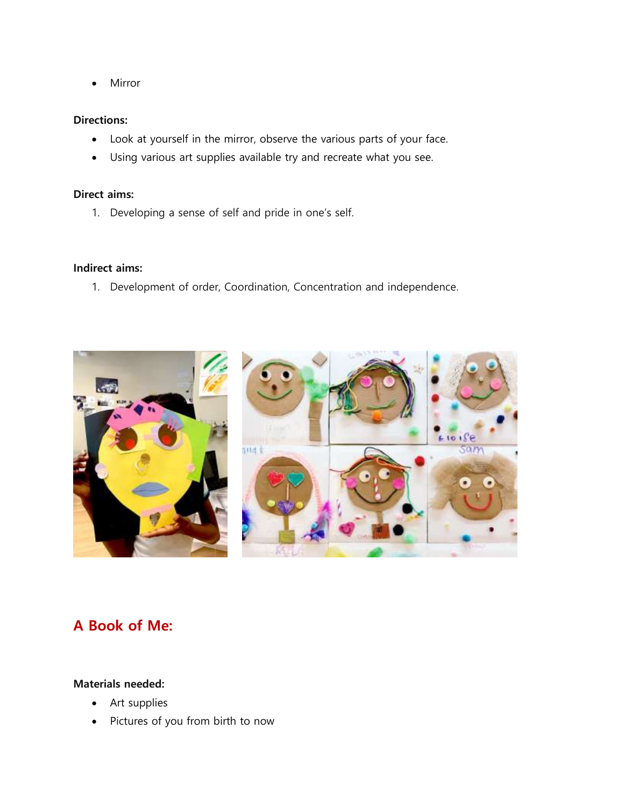• Mirror

#### **Directions:**

- Look at yourself in the mirror, observe the various parts of your face.
- Using various art supplies available try and recreate what you see.

#### **Direct aims:**

1. Developing a sense of self and pride in one's self.

#### **Indirect aims:**

1. Development of order, Coordination, Concentration and independence.





## **A Book of Me:**

#### **Materials needed:**

- Art supplies
- Pictures of you from birth to now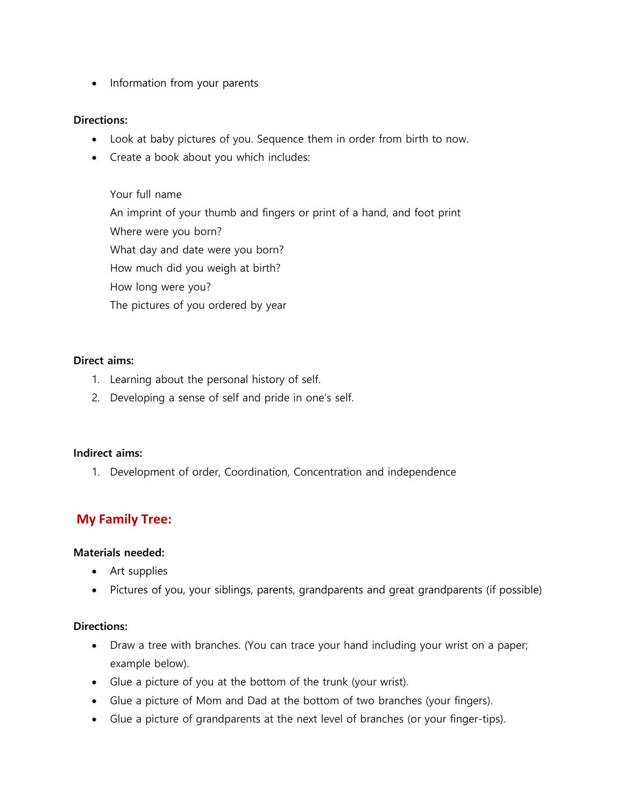• Information from your parents

### **Directions:**

- Look at baby pictures of you. Sequence them in order from birth to now.
- Create a book about you which includes:

Your full name An imprint of your thumb and fingers or print of a hand, and foot print Where were you born? What day and date were you born? How much did you weigh at birth? How long were you? The pictures of you ordered by year

#### **Direct aims:**

- 1. Learning about the personal history of self.
- 2. Developing a sense of self and pride in one's self.

#### **Indirect aims:**

1. Development of order, Coordination, Concentration and independence

### **My Family Tree:**

#### **Materials needed:**

- Art supplies
- Pictures of you, your siblings, parents, grandparents and great grandparents (if possible)

#### **Directions:**

- Draw a tree with branches. (You can trace your hand including your wrist on a paper; example below).
- Glue a picture of you at the bottom of the trunk (your wrist).
- Glue a picture of Mom and Dad at the bottom of two branches (your fingers).
- Glue a picture of grandparents at the next level of branches (or your finger-tips).